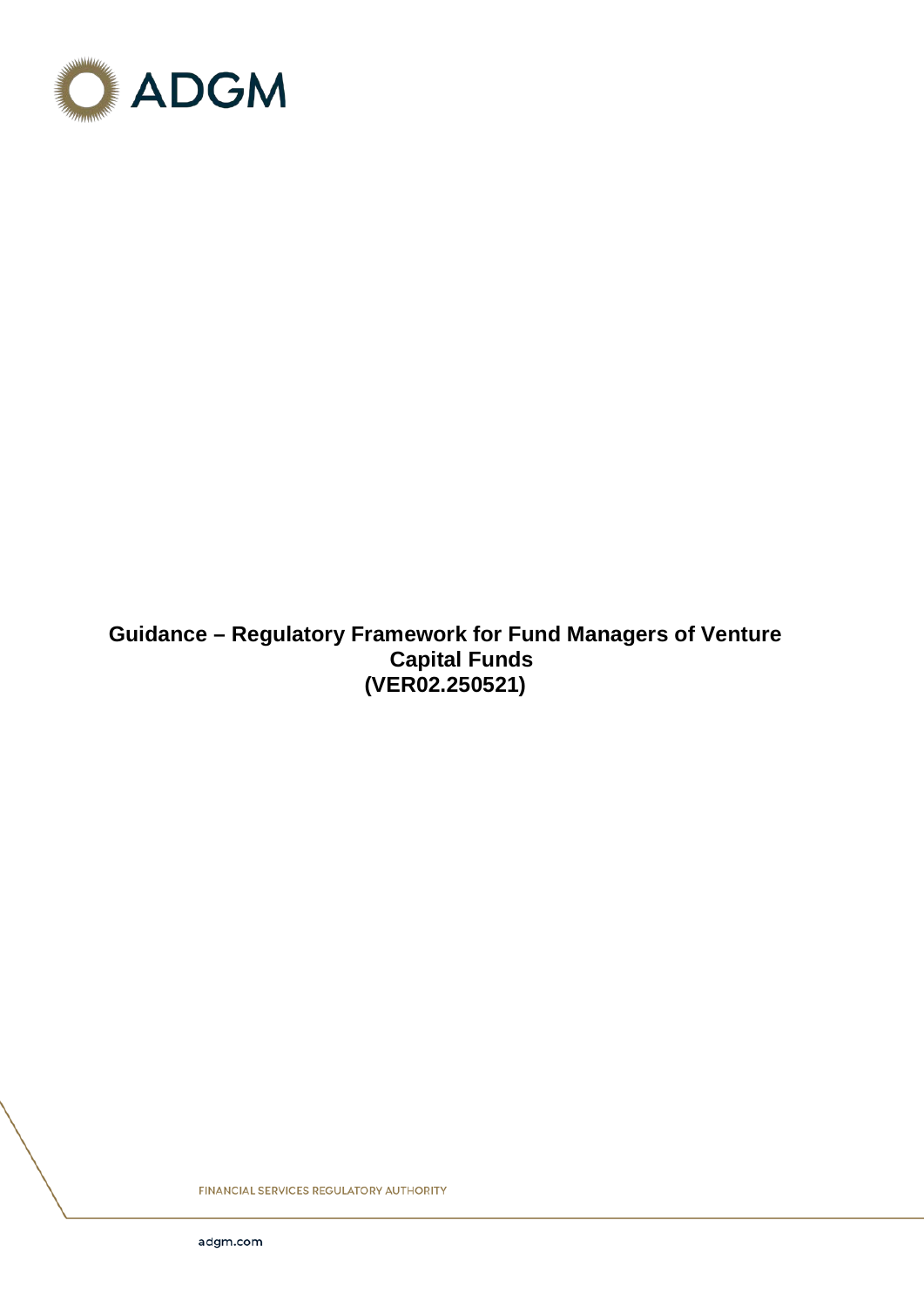

# **Guidance – Regulatory Framework for Fund Managers of Venture Capital Funds (VER02.250521)**

**FINANCIAL SERVICES REGULATORY AUTHORITY**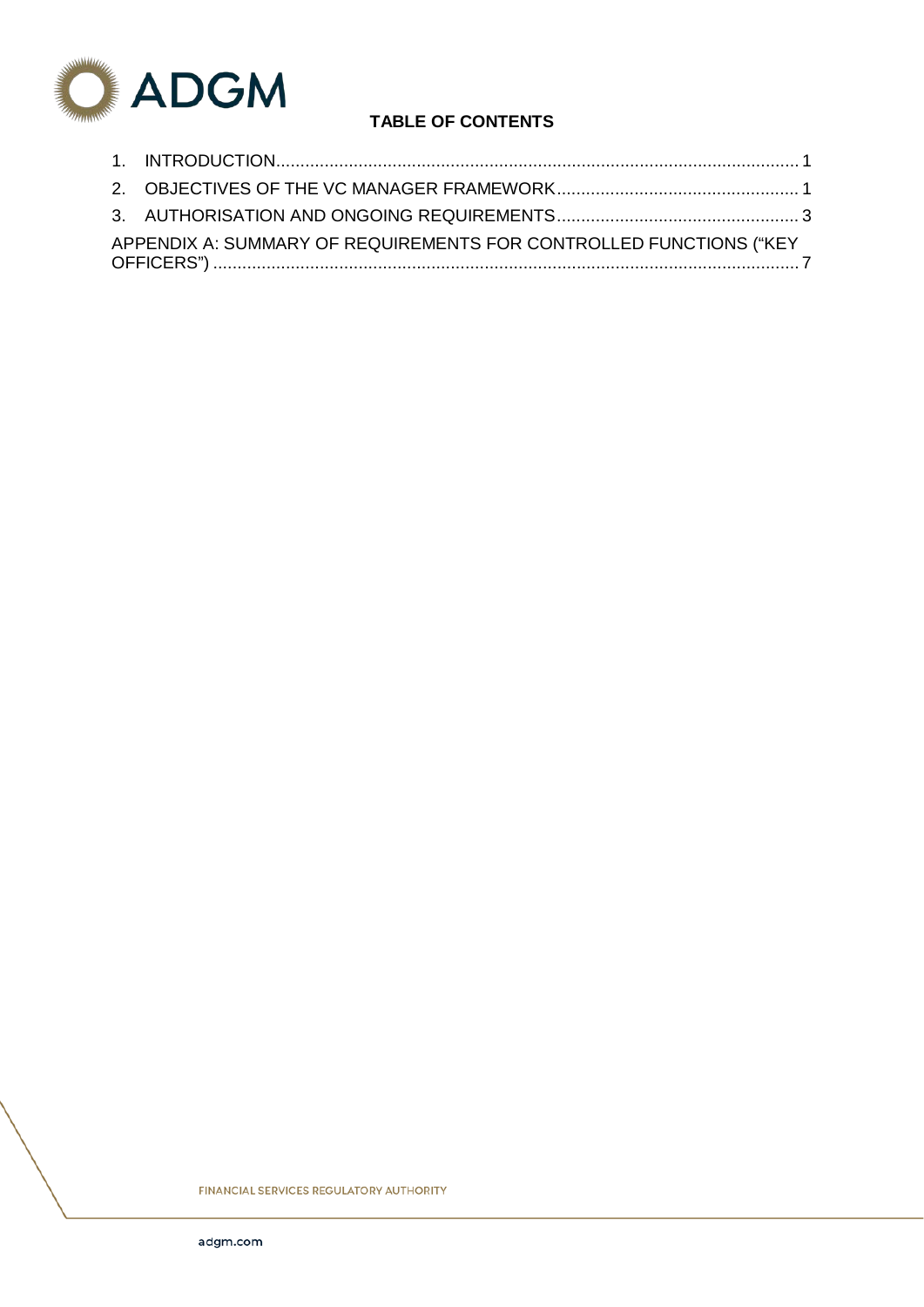

# **TABLE OF CONTENTS**

| APPENDIX A: SUMMARY OF REQUIREMENTS FOR CONTROLLED FUNCTIONS ("KEY |  |
|--------------------------------------------------------------------|--|

**FINANCIAL SERVICES REGULATORY AUTHORITY**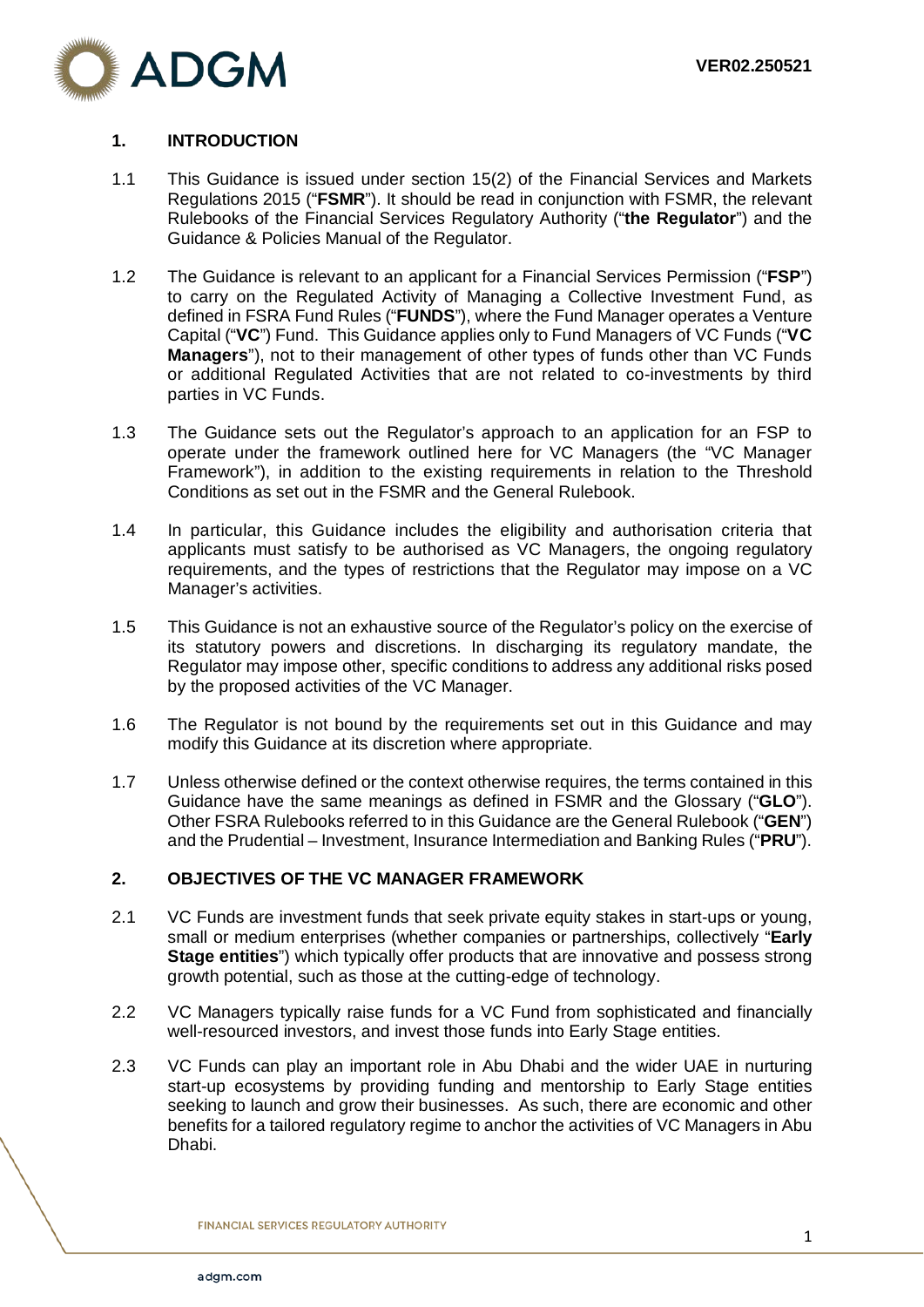

### <span id="page-2-0"></span>**1. INTRODUCTION**

- 1.1 This Guidance is issued under section 15(2) of the Financial Services and Markets Regulations 2015 ("**FSMR**"). It should be read in conjunction with FSMR, the relevant Rulebooks of the Financial Services Regulatory Authority ("**the Regulator**") and the Guidance & Policies Manual of the Regulator.
- 1.2 The Guidance is relevant to an applicant for a Financial Services Permission ("**FSP**") to carry on the Regulated Activity of Managing a Collective Investment Fund, as defined in FSRA Fund Rules ("**FUNDS**"), where the Fund Manager operates a Venture Capital ("**VC**") Fund. This Guidance applies only to Fund Managers of VC Funds ("**VC Managers**"), not to their management of other types of funds other than VC Funds or additional Regulated Activities that are not related to co-investments by third parties in VC Funds.
- 1.3 The Guidance sets out the Regulator's approach to an application for an FSP to operate under the framework outlined here for VC Managers (the "VC Manager Framework"), in addition to the existing requirements in relation to the Threshold Conditions as set out in the FSMR and the General Rulebook.
- 1.4 In particular, this Guidance includes the eligibility and authorisation criteria that applicants must satisfy to be authorised as VC Managers, the ongoing regulatory requirements, and the types of restrictions that the Regulator may impose on a VC Manager's activities.
- 1.5 This Guidance is not an exhaustive source of the Regulator's policy on the exercise of its statutory powers and discretions. In discharging its regulatory mandate, the Regulator may impose other, specific conditions to address any additional risks posed by the proposed activities of the VC Manager.
- 1.6 The Regulator is not bound by the requirements set out in this Guidance and may modify this Guidance at its discretion where appropriate.
- 1.7 Unless otherwise defined or the context otherwise requires, the terms contained in this Guidance have the same meanings as defined in FSMR and the Glossary ("**GLO**"). Other FSRA Rulebooks referred to in this Guidance are the General Rulebook ("**GEN**") and the Prudential – Investment, Insurance Intermediation and Banking Rules ("**PRU**").

#### <span id="page-2-1"></span>**2. OBJECTIVES OF THE VC MANAGER FRAMEWORK**

- 2.1 VC Funds are investment funds that seek private equity stakes in start-ups or young, small or medium enterprises (whether companies or partnerships, collectively "**Early Stage entities**") which typically offer products that are innovative and possess strong growth potential, such as those at the cutting-edge of technology.
- 2.2 VC Managers typically raise funds for a VC Fund from sophisticated and financially well-resourced investors, and invest those funds into Early Stage entities.
- 2.3 VC Funds can play an important role in Abu Dhabi and the wider UAE in nurturing start-up ecosystems by providing funding and mentorship to Early Stage entities seeking to launch and grow their businesses. As such, there are economic and other benefits for a tailored regulatory regime to anchor the activities of VC Managers in Abu Dhabi.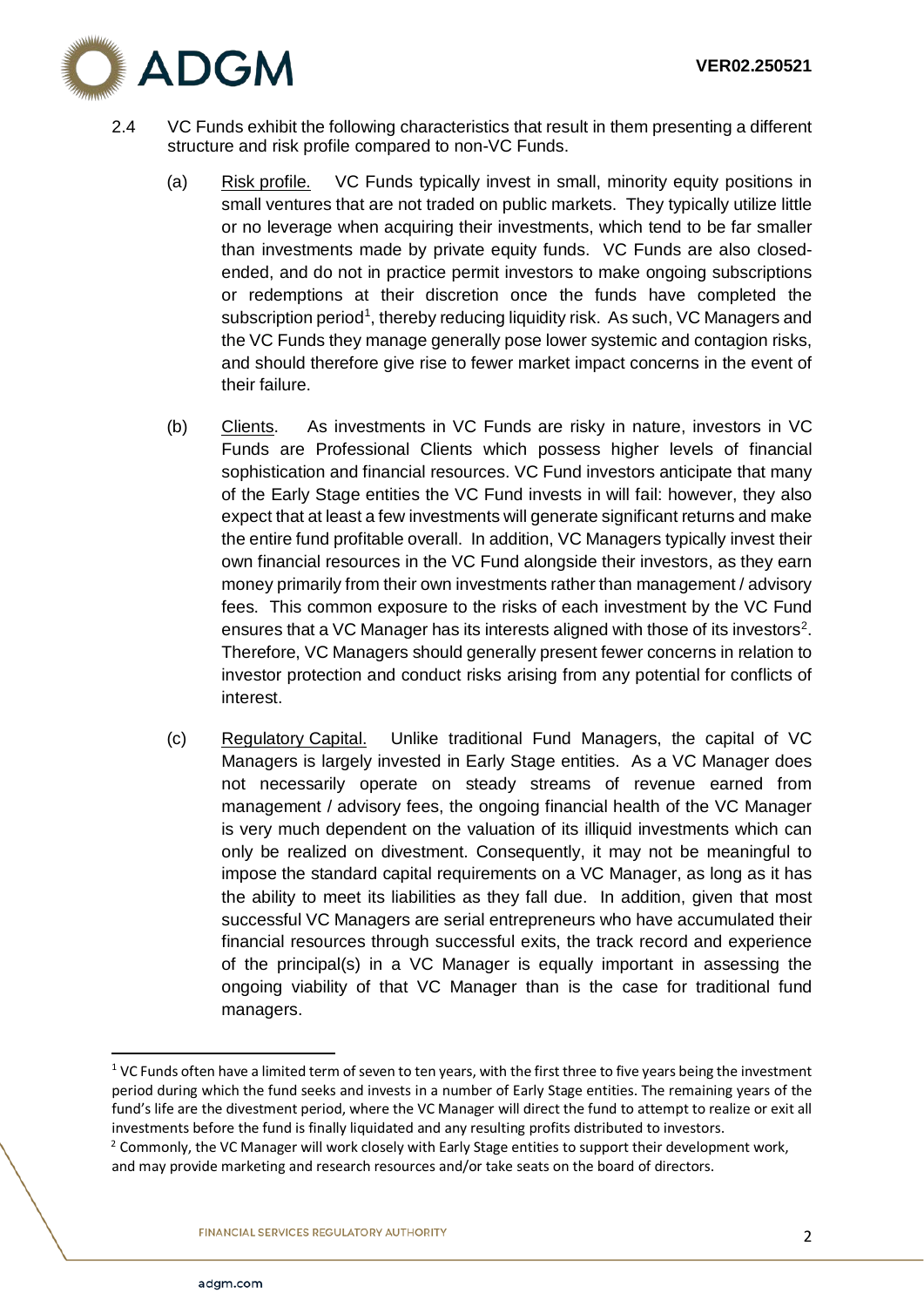

- 2.4 VC Funds exhibit the following characteristics that result in them presenting a different structure and risk profile compared to non-VC Funds.
	- (a) Risk profile. VC Funds typically invest in small, minority equity positions in small ventures that are not traded on public markets. They typically utilize little or no leverage when acquiring their investments, which tend to be far smaller than investments made by private equity funds. VC Funds are also closedended, and do not in practice permit investors to make ongoing subscriptions or redemptions at their discretion once the funds have completed the subscription period<sup>[1](#page-3-0)</sup>, thereby reducing liquidity risk. As such, VC Managers and the VC Funds they manage generally pose lower systemic and contagion risks, and should therefore give rise to fewer market impact concerns in the event of their failure.
	- (b) Clients. As investments in VC Funds are risky in nature, investors in VC Funds are Professional Clients which possess higher levels of financial sophistication and financial resources. VC Fund investors anticipate that many of the Early Stage entities the VC Fund invests in will fail: however, they also expect that at least a few investments will generate significant returns and make the entire fund profitable overall. In addition, VC Managers typically invest their own financial resources in the VC Fund alongside their investors, as they earn money primarily from their own investments rather than management / advisory fees. This common exposure to the risks of each investment by the VC Fund ensures that a VC Manager has its interests aligned with those of its investors<sup>2</sup>. Therefore, VC Managers should generally present fewer concerns in relation to investor protection and conduct risks arising from any potential for conflicts of interest.
	- (c) Regulatory Capital. Unlike traditional Fund Managers, the capital of VC Managers is largely invested in Early Stage entities. As a VC Manager does not necessarily operate on steady streams of revenue earned from management / advisory fees, the ongoing financial health of the VC Manager is very much dependent on the valuation of its illiquid investments which can only be realized on divestment. Consequently, it may not be meaningful to impose the standard capital requirements on a VC Manager, as long as it has the ability to meet its liabilities as they fall due. In addition, given that most successful VC Managers are serial entrepreneurs who have accumulated their financial resources through successful exits, the track record and experience of the principal(s) in a VC Manager is equally important in assessing the ongoing viability of that VC Manager than is the case for traditional fund managers.

<span id="page-3-0"></span> $1$  VC Funds often have a limited term of seven to ten years, with the first three to five years being the investment period during which the fund seeks and invests in a number of Early Stage entities. The remaining years of the fund's life are the divestment period, where the VC Manager will direct the fund to attempt to realize or exit all investments before the fund is finally liquidated and any resulting profits distributed to investors.

<span id="page-3-1"></span> $2$  Commonly, the VC Manager will work closely with Early Stage entities to support their development work, and may provide marketing and research resources and/or take seats on the board of directors.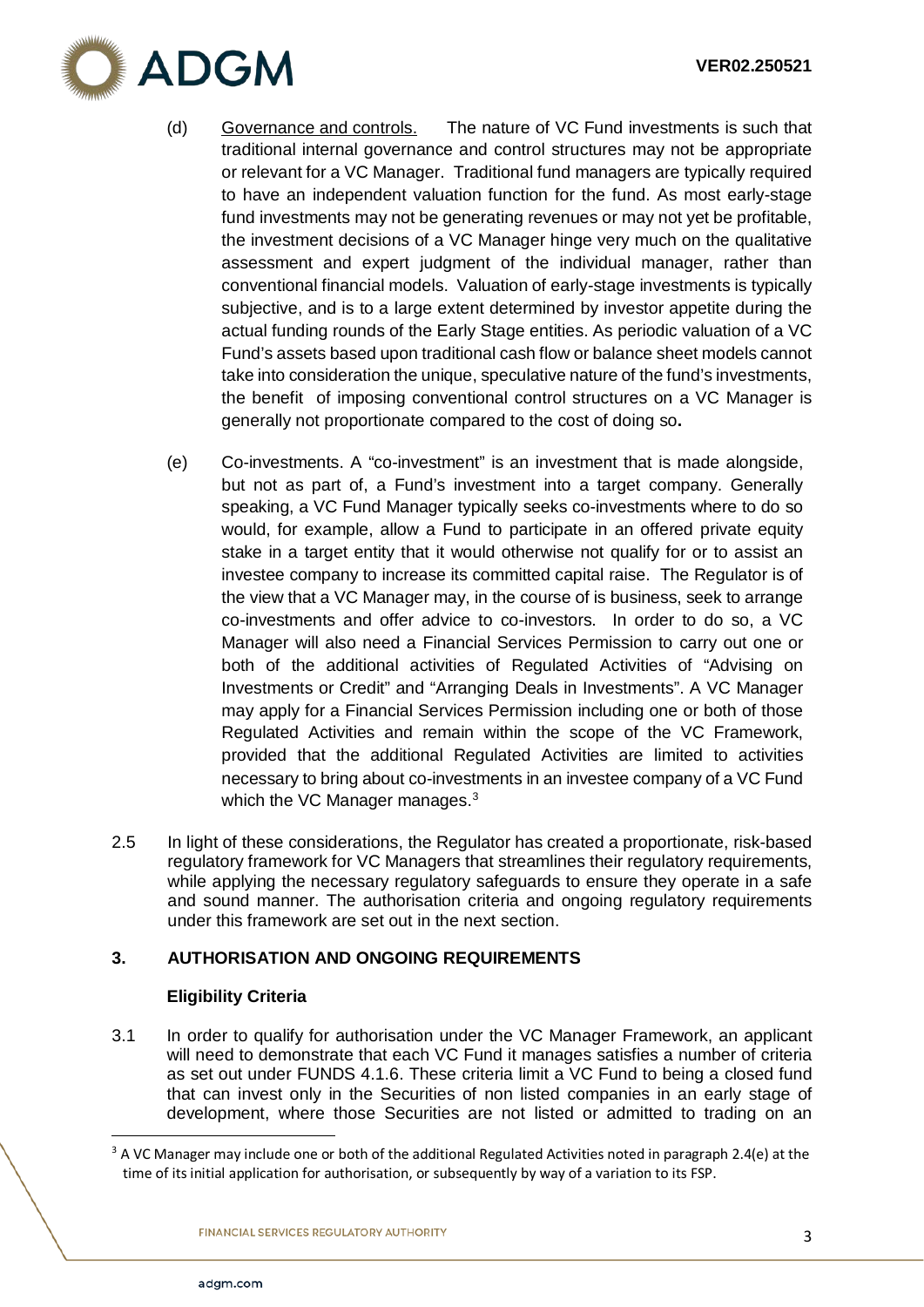

- (d) Governance and controls. The nature of VC Fund investments is such that traditional internal governance and control structures may not be appropriate or relevant for a VC Manager. Traditional fund managers are typically required to have an independent valuation function for the fund. As most early-stage fund investments may not be generating revenues or may not yet be profitable, the investment decisions of a VC Manager hinge very much on the qualitative assessment and expert judgment of the individual manager, rather than conventional financial models. Valuation of early-stage investments is typically subjective, and is to a large extent determined by investor appetite during the actual funding rounds of the Early Stage entities. As periodic valuation of a VC Fund's assets based upon traditional cash flow or balance sheet models cannot take into consideration the unique, speculative nature of the fund's investments, the benefit of imposing conventional control structures on a VC Manager is generally not proportionate compared to the cost of doing so**.**
- (e) Co-investments. A "co-investment" is an investment that is made alongside, but not as part of, a Fund's investment into a target company. Generally speaking, a VC Fund Manager typically seeks co-investments where to do so would, for example, allow a Fund to participate in an offered private equity stake in a target entity that it would otherwise not qualify for or to assist an investee company to increase its committed capital raise. The Regulator is of the view that a VC Manager may, in the course of is business, seek to arrange co-investments and offer advice to co-investors. In order to do so, a VC Manager will also need a Financial Services Permission to carry out one or both of the additional activities of Regulated Activities of "Advising on Investments or Credit" and "Arranging Deals in Investments". A VC Manager may apply for a Financial Services Permission including one or both of those Regulated Activities and remain within the scope of the VC Framework, provided that the additional Regulated Activities are limited to activities necessary to bring about co-investments in an investee company of a VC Fund which the VC Manager manages.<sup>[3](#page-4-1)</sup>
- 2.5 In light of these considerations, the Regulator has created a proportionate, risk-based regulatory framework for VC Managers that streamlines their regulatory requirements, while applying the necessary regulatory safeguards to ensure they operate in a safe and sound manner. The authorisation criteria and ongoing regulatory requirements under this framework are set out in the next section.

## <span id="page-4-0"></span>**3. AUTHORISATION AND ONGOING REQUIREMENTS**

## **Eligibility Criteria**

3.1 In order to qualify for authorisation under the VC Manager Framework, an applicant will need to demonstrate that each VC Fund it manages satisfies a number of criteria as set out under FUNDS 4.1.6. These criteria limit a VC Fund to being a closed fund that can invest only in the Securities of non listed companies in an early stage of development, where those Securities are not listed or admitted to trading on an

<span id="page-4-1"></span> $3$  A VC Manager may include one or both of the additional Regulated Activities noted in paragraph 2.4(e) at the time of its initial application for authorisation, or subsequently by way of a variation to its FSP.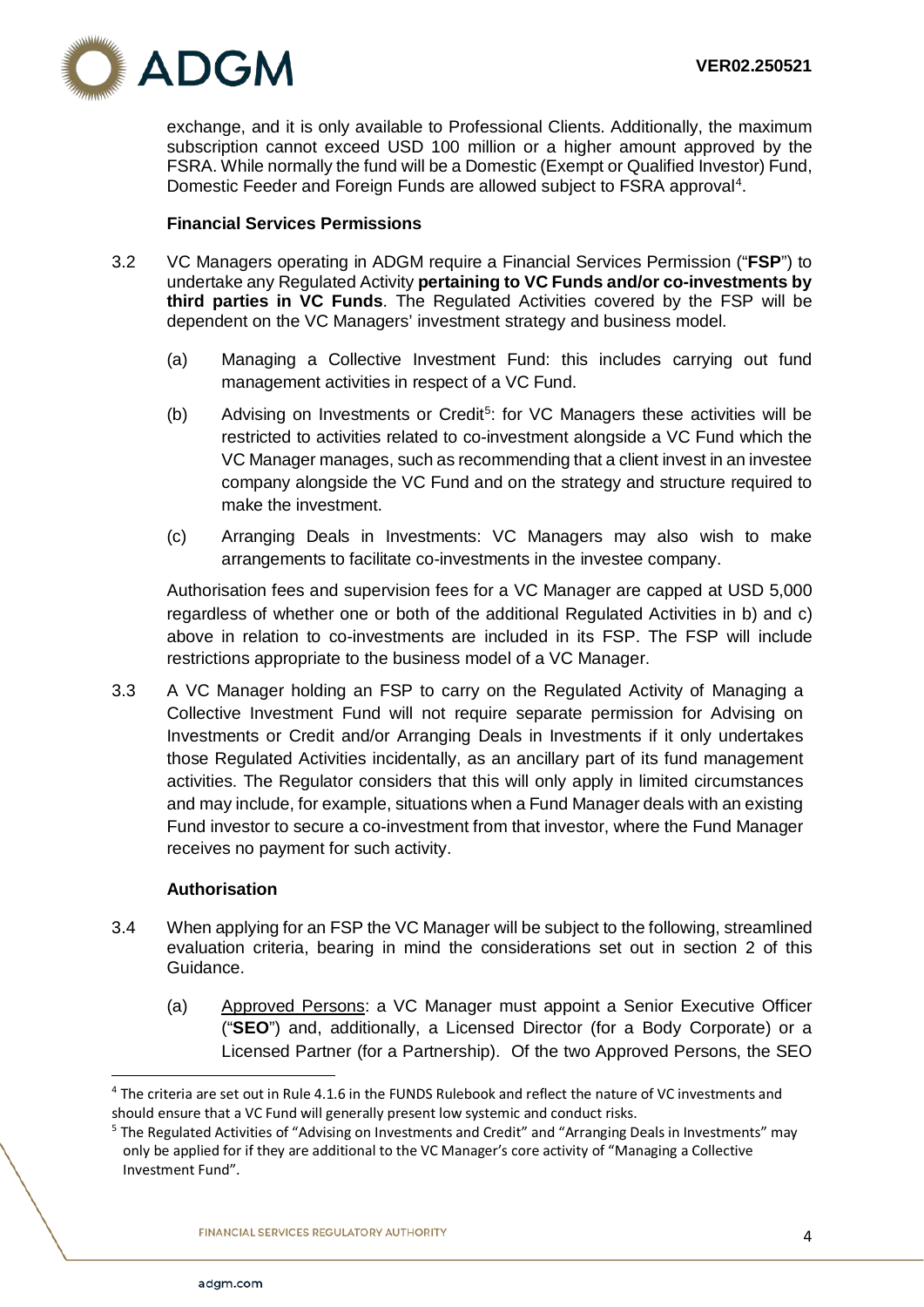

exchange, and it is only available to Professional Clients. Additionally, the maximum subscription cannot exceed USD 100 million or a higher amount approved by the FSRA. While normally the fund will be a Domestic (Exempt or Qualified Investor) Fund, Domestic Feeder and Foreign Funds are allowed subject to FSRA approval<sup>[4](#page-5-0)</sup>.

#### **Financial Services Permissions**

- 3.2 VC Managers operating in ADGM require a Financial Services Permission ("**FSP**") to undertake any Regulated Activity **pertaining to VC Funds and/or co-investments by third parties in VC Funds**. The Regulated Activities covered by the FSP will be dependent on the VC Managers' investment strategy and business model.
	- (a) Managing a Collective Investment Fund: this includes carrying out fund management activities in respect of a VC Fund.
	- (b) Advising on Investments or Credit<sup>[5](#page-5-1)</sup>: for VC Managers these activities will be restricted to activities related to co-investment alongside a VC Fund which the VC Manager manages, such as recommending that a client invest in an investee company alongside the VC Fund and on the strategy and structure required to make the investment.
	- (c) Arranging Deals in Investments: VC Managers may also wish to make arrangements to facilitate co-investments in the investee company.

Authorisation fees and supervision fees for a VC Manager are capped at USD 5,000 regardless of whether one or both of the additional Regulated Activities in b) and c) above in relation to co-investments are included in its FSP. The FSP will include restrictions appropriate to the business model of a VC Manager.

3.3 A VC Manager holding an FSP to carry on the Regulated Activity of Managing a Collective Investment Fund will not require separate permission for Advising on Investments or Credit and/or Arranging Deals in Investments if it only undertakes those Regulated Activities incidentally, as an ancillary part of its fund management activities. The Regulator considers that this will only apply in limited circumstances and may include, for example, situations when a Fund Manager deals with an existing Fund investor to secure a co-investment from that investor, where the Fund Manager receives no payment for such activity.

#### **Authorisation**

- 3.4 When applying for an FSP the VC Manager will be subject to the following, streamlined evaluation criteria, bearing in mind the considerations set out in section 2 of this Guidance.
	- (a) Approved Persons: a VC Manager must appoint a Senior Executive Officer ("**SEO**") and, additionally, a Licensed Director (for a Body Corporate) or a Licensed Partner (for a Partnership). Of the two Approved Persons, the SEO

<span id="page-5-0"></span> <sup>4</sup> The criteria are set out in Rule 4.1.6 in the FUNDS Rulebook and reflect the nature of VC investments and should ensure that a VC Fund will generally present low systemic and conduct risks.

<span id="page-5-1"></span><sup>&</sup>lt;sup>5</sup> The Regulated Activities of "Advising on Investments and Credit" and "Arranging Deals in Investments" may only be applied for if they are additional to the VC Manager's core activity of "Managing a Collective Investment Fund".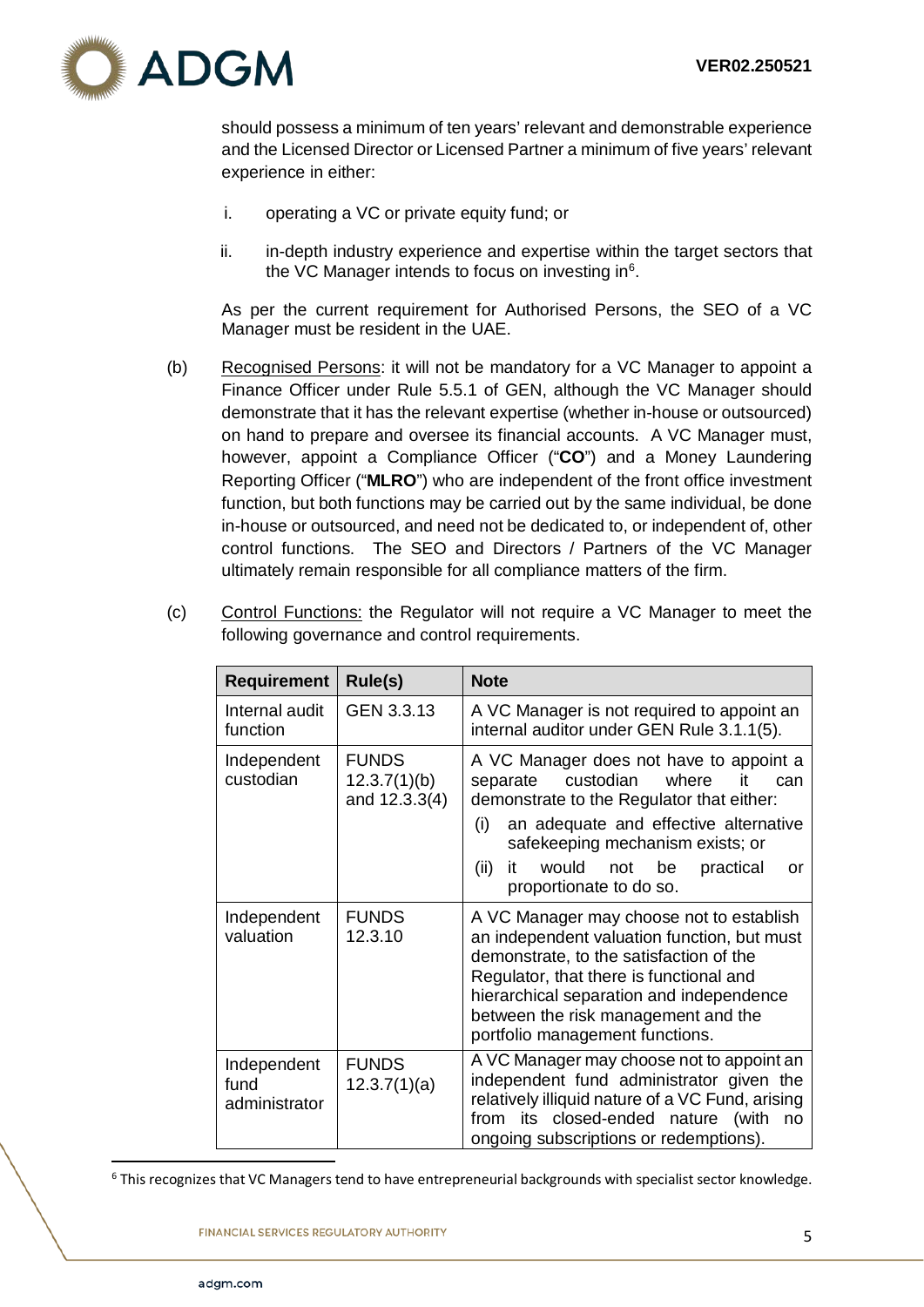

should possess a minimum of ten years' relevant and demonstrable experience and the Licensed Director or Licensed Partner a minimum of five years' relevant experience in either:

- i. operating a VC or private equity fund; or
- ii. in-depth industry experience and expertise within the target sectors that the VC Manager intends to focus on investing in<sup>6</sup>.

As per the current requirement for Authorised Persons, the SEO of a VC Manager must be resident in the UAE.

(b) Recognised Persons: it will not be mandatory for a VC Manager to appoint a Finance Officer under Rule 5.5.1 of GEN, although the VC Manager should demonstrate that it has the relevant expertise (whether in-house or outsourced) on hand to prepare and oversee its financial accounts. A VC Manager must, however, appoint a Compliance Officer ("**CO**") and a Money Laundering Reporting Officer ("**MLRO**") who are independent of the front office investment function, but both functions may be carried out by the same individual, be done in-house or outsourced, and need not be dedicated to, or independent of, other control functions. The SEO and Directors / Partners of the VC Manager ultimately remain responsible for all compliance matters of the firm.

| <b>Requirement</b>                   | Rule(s)                                       | <b>Note</b>                                                                                                                                                                                                                                                                                               |
|--------------------------------------|-----------------------------------------------|-----------------------------------------------------------------------------------------------------------------------------------------------------------------------------------------------------------------------------------------------------------------------------------------------------------|
| Internal audit<br>function           | GEN 3.3.13                                    | A VC Manager is not required to appoint an<br>internal auditor under GEN Rule 3.1.1(5).                                                                                                                                                                                                                   |
| Independent<br>custodian             | <b>FUNDS</b><br>12.3.7(1)(b)<br>and 12.3.3(4) | A VC Manager does not have to appoint a<br>custodian<br>where<br>separate<br>it<br>can<br>demonstrate to the Regulator that either:<br>an adequate and effective alternative<br>(i)<br>safekeeping mechanism exists; or<br>(ii)<br>would<br>it<br>be<br>practical<br>not<br>or<br>proportionate to do so. |
| Independent<br>valuation             | <b>FUNDS</b><br>12.3.10                       | A VC Manager may choose not to establish<br>an independent valuation function, but must<br>demonstrate, to the satisfaction of the<br>Regulator, that there is functional and<br>hierarchical separation and independence<br>between the risk management and the<br>portfolio management functions.       |
| Independent<br>fund<br>administrator | <b>FUNDS</b><br>12.3.7(1)(a)                  | A VC Manager may choose not to appoint an<br>independent fund administrator given the<br>relatively illiquid nature of a VC Fund, arising<br>from its closed-ended nature (with<br>no<br>ongoing subscriptions or redemptions).                                                                           |

(c) Control Functions: the Regulator will not require a VC Manager to meet the following governance and control requirements.

<span id="page-6-0"></span><sup>6</sup> This recognizes that VC Managers tend to have entrepreneurial backgrounds with specialist sector knowledge.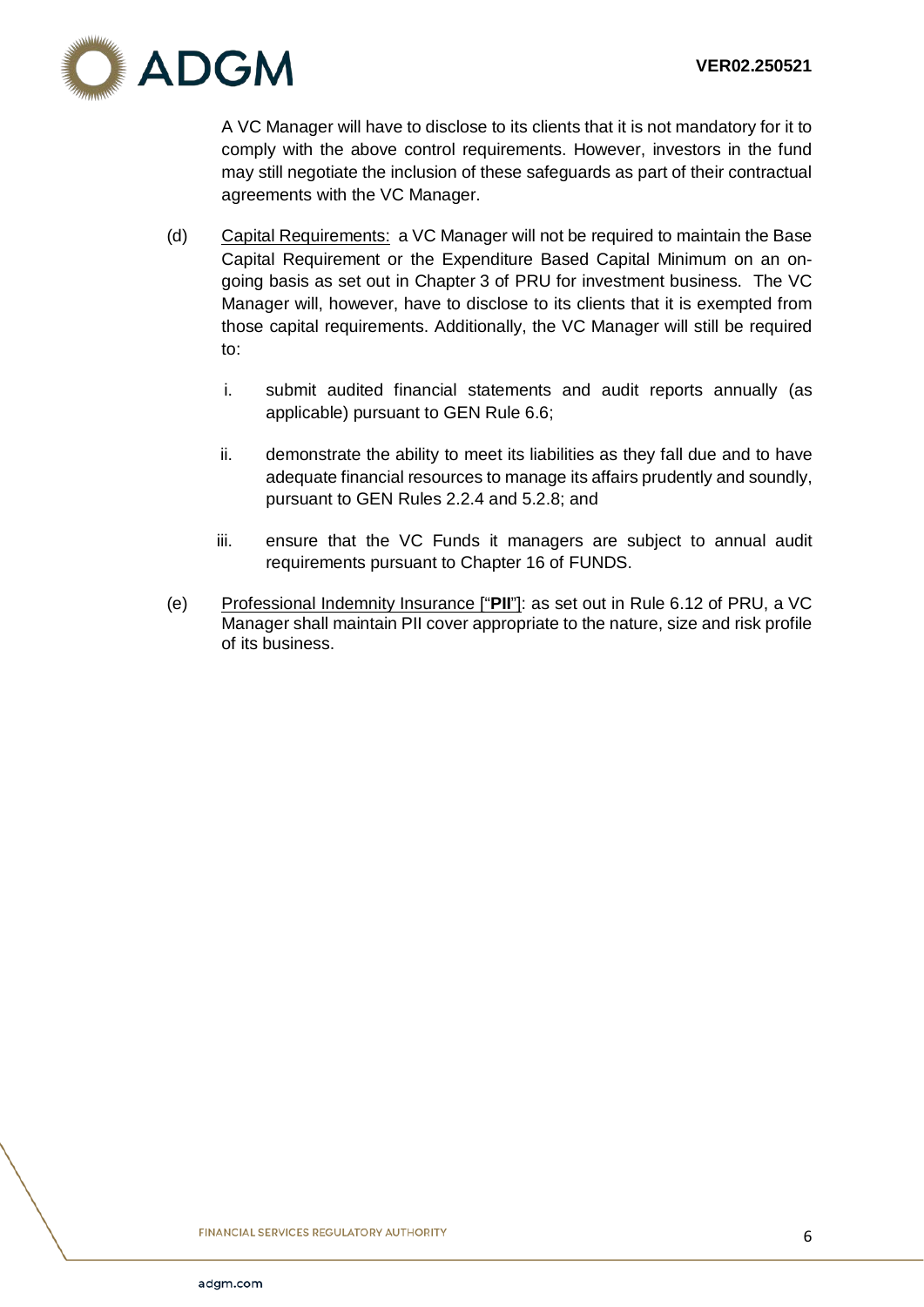

A VC Manager will have to disclose to its clients that it is not mandatory for it to comply with the above control requirements. However, investors in the fund may still negotiate the inclusion of these safeguards as part of their contractual agreements with the VC Manager.

- (d) Capital Requirements: a VC Manager will not be required to maintain the Base Capital Requirement or the Expenditure Based Capital Minimum on an ongoing basis as set out in Chapter 3 of PRU for investment business. The VC Manager will, however, have to disclose to its clients that it is exempted from those capital requirements. Additionally, the VC Manager will still be required to:
	- i. submit audited financial statements and audit reports annually (as applicable) pursuant to GEN Rule 6.6;
	- ii. demonstrate the ability to meet its liabilities as they fall due and to have adequate financial resources to manage its affairs prudently and soundly, pursuant to GEN Rules 2.2.4 and 5.2.8; and
	- iii. ensure that the VC Funds it managers are subject to annual audit requirements pursuant to Chapter 16 of FUNDS.
- (e) Professional Indemnity Insurance ["**PII**"]: as set out in Rule 6.12 of PRU, a VC Manager shall maintain PII cover appropriate to the nature, size and risk profile of its business.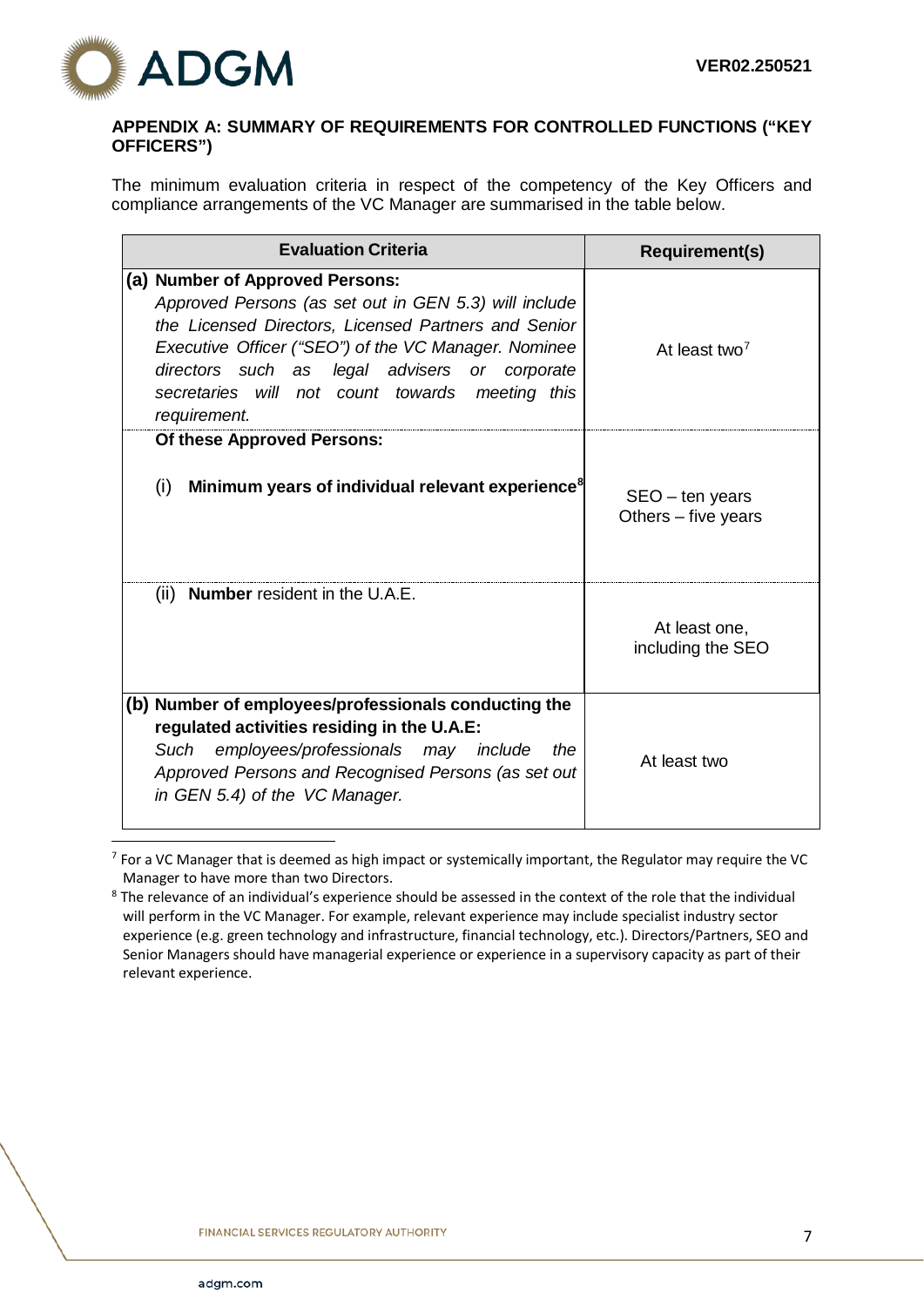

## <span id="page-8-0"></span>**APPENDIX A: SUMMARY OF REQUIREMENTS FOR CONTROLLED FUNCTIONS ("KEY OFFICERS")**

The minimum evaluation criteria in respect of the competency of the Key Officers and compliance arrangements of the VC Manager are summarised in the table below.

| <b>Evaluation Criteria</b>                                                                                                                                                                                                                                                                                                   | <b>Requirement(s)</b>                    |
|------------------------------------------------------------------------------------------------------------------------------------------------------------------------------------------------------------------------------------------------------------------------------------------------------------------------------|------------------------------------------|
| (a) Number of Approved Persons:<br>Approved Persons (as set out in GEN 5.3) will include<br>the Licensed Directors, Licensed Partners and Senior<br>Executive Officer ("SEO") of the VC Manager. Nominee<br>directors such as legal advisers or corporate<br>secretaries will not count towards meeting this<br>requirement. | At least two <sup>7</sup>                |
| Of these Approved Persons:<br>Minimum years of individual relevant experience <sup>8</sup><br>(i)                                                                                                                                                                                                                            | $SEO - ten years$<br>Others – five years |
| (ii) <b>Number</b> resident in the U.A.E.                                                                                                                                                                                                                                                                                    | At least one,<br>including the SEO       |
| (b) Number of employees/professionals conducting the<br>regulated activities residing in the U.A.E:<br>employees/professionals may include<br>Such<br>the<br>Approved Persons and Recognised Persons (as set out<br>in GEN 5.4) of the VC Manager.                                                                           | At least two                             |

<span id="page-8-1"></span> 7 For a VC Manager that is deemed as high impact or systemically important, the Regulator may require the VC Manager to have more than two Directors.

<span id="page-8-2"></span><sup>&</sup>lt;sup>8</sup> The relevance of an individual's experience should be assessed in the context of the role that the individual will perform in the VC Manager. For example, relevant experience may include specialist industry sector experience (e.g. green technology and infrastructure, financial technology, etc.). Directors/Partners, SEO and Senior Managers should have managerial experience or experience in a supervisory capacity as part of their relevant experience.